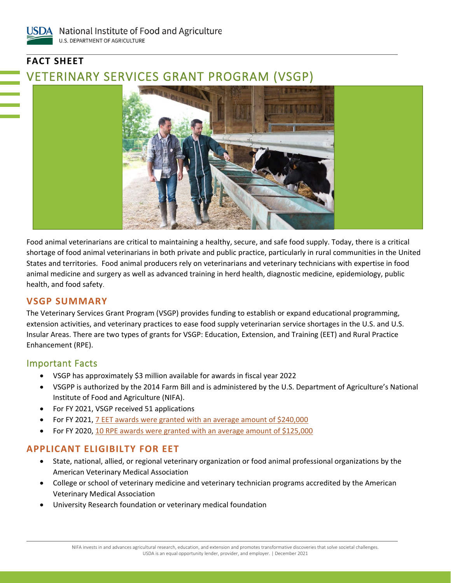# **FACT SHEET** VETERINARY SERVICES GRANT PROGRAM (VSGP)



Food animal veterinarians are critical to maintaining a healthy, secure, and safe food supply. Today, there is a critical shortage of food animal veterinarians in both private and public practice, particularly in rural communities in the United States and territories. Food animal producers rely on veterinarians and veterinary technicians with expertise in food animal medicine and surgery as well as advanced training in herd health, diagnostic medicine, epidemiology, public health, and food safety.

#### **VSGP SUMMARY**

The Veterinary Services Grant Program (VSGP) provides funding to establish or expand educational programming, extension activities, and veterinary practices to ease food supply veterinarian service shortages in the U.S. and U.S. Insular Areas. There are two types of grants for VSGP: Education, Extension, and Training (EET) and Rural Practice Enhancement (RPE).

### Important Facts

- VSGP has approximately \$3 million available for awards in fiscal year 2022
- VSGPP is authorized by the 2014 Farm Bill and is administered by the U.S. Department of Agriculture's National Institute of Food and Agriculture (NIFA).
- For FY 2021, VSGP received 51 applications
- For FY 2021[, 7 EET awards were granted with an average amount of \\$240,000](https://cris.nifa.usda.gov/cgi-bin/starfinder/0?path=fastlink1.txt&id=anon&pass=&search=(AN=1027049;1027146;1027118;1027110;1027140;1027127;1027107)&format=WEBTITLESGIY)
- For FY 2020, 10 RPE awards [were granted with an average amount of \\$125,000](https://cris.nifa.usda.gov/cgi-bin/starfinder/0?path=fastlink1.txt&id=anon&pass=&search=(AN=1027041;1027141;1027150;1027122;1027075;1027121;1027044;1027035;1027083;1027070)&format=WEBTITLESGIY)

## **APPLICANT ELIGIBILTY FOR EET**

- State, national, allied, or regional veterinary organization or food animal professional organizations by the American Veterinary Medical Association
- College or school of veterinary medicine and veterinary technician programs accredited by the American Veterinary Medical Association
- University Research foundation or veterinary medical foundation